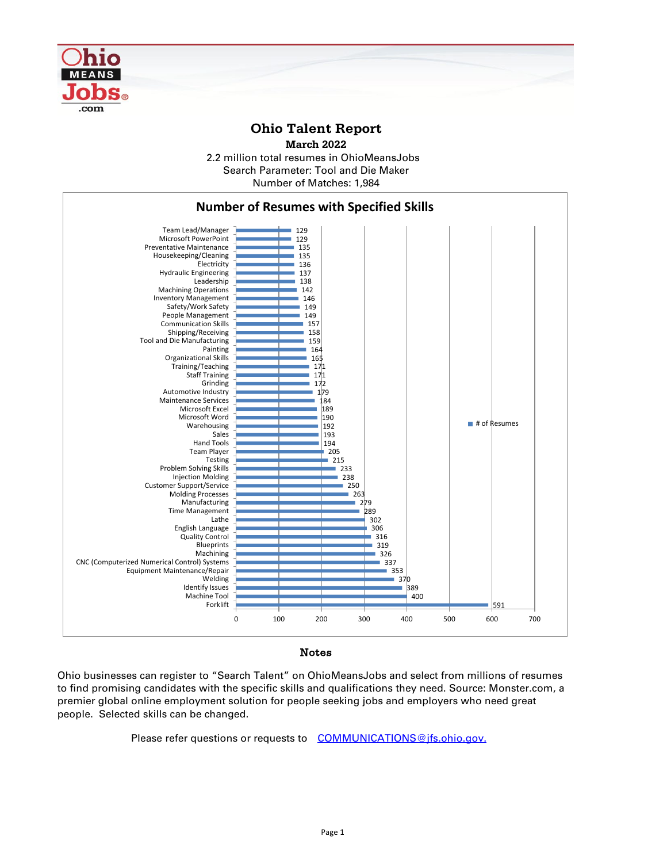

## **Ohio Talent Report**





## Notes

Ohio businesses can register to "Search Talent" on OhioMeansJobs and select from millions of resumes to find promising candidates with the specific skills and qualifications they need. Source: Monster.com, a premier global online employment solution for people seeking jobs and employers who need great people. Selected skills can be changed.

Please refer questions or requests to [COMMUNICATIONS@jfs.ohio.gov.](mailto:COMMUNICATIONS@jfs.ohio.gov.)